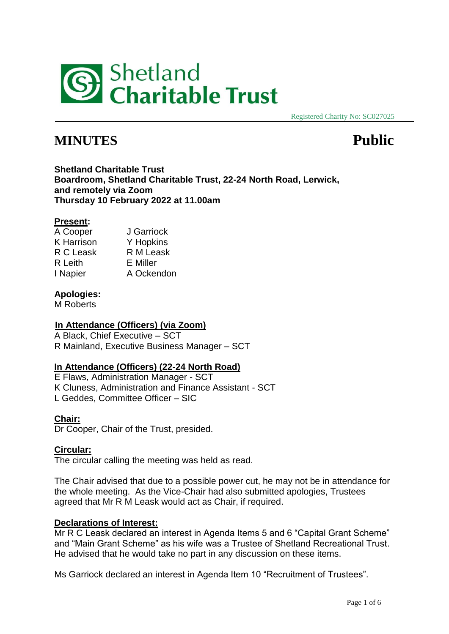

Registered Charity No: SC027025

# **MINUTES Public**

**Shetland Charitable Trust Boardroom, Shetland Charitable Trust, 22-24 North Road, Lerwick, and remotely via Zoom Thursday 10 February 2022 at 11.00am**

# **Present:**

A Cooper J Garriock K Harrison Y Hopkins<br>R C Leask R M Leask R C Leask R Leith E Miller I Napier A Ockendon

# **Apologies:**

M Roberts

# **In Attendance (Officers) (via Zoom)**

A Black, Chief Executive – SCT R Mainland, Executive Business Manager – SCT

# **In Attendance (Officers) (22-24 North Road)**

E Flaws, Administration Manager - SCT K Cluness, Administration and Finance Assistant - SCT L Geddes, Committee Officer – SIC

# **Chair:**

Dr Cooper, Chair of the Trust, presided.

# **Circular:**

The circular calling the meeting was held as read.

The Chair advised that due to a possible power cut, he may not be in attendance for the whole meeting. As the Vice-Chair had also submitted apologies, Trustees agreed that Mr R M Leask would act as Chair, if required.

# **Declarations of Interest:**

Mr R C Leask declared an interest in Agenda Items 5 and 6 "Capital Grant Scheme" and "Main Grant Scheme" as his wife was a Trustee of Shetland Recreational Trust. He advised that he would take no part in any discussion on these items.

Ms Garriock declared an interest in Agenda Item 10 "Recruitment of Trustees".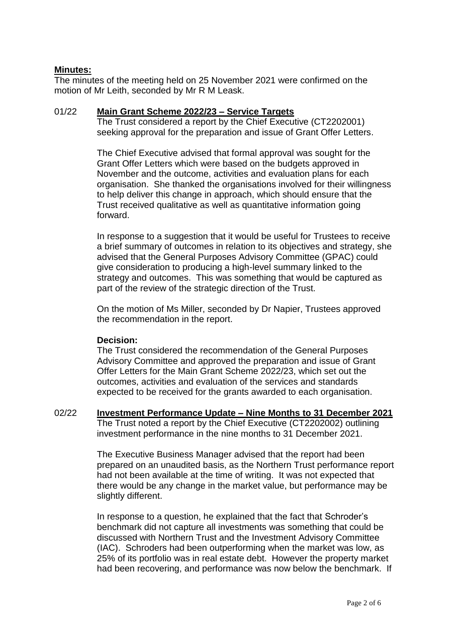# **Minutes:**

The minutes of the meeting held on 25 November 2021 were confirmed on the motion of Mr Leith, seconded by Mr R M Leask.

#### 01/22 **Main Grant Scheme 2022/23 – Service Targets**

The Trust considered a report by the Chief Executive (CT2202001) seeking approval for the preparation and issue of Grant Offer Letters.

The Chief Executive advised that formal approval was sought for the Grant Offer Letters which were based on the budgets approved in November and the outcome, activities and evaluation plans for each organisation. She thanked the organisations involved for their willingness to help deliver this change in approach, which should ensure that the Trust received qualitative as well as quantitative information going forward.

In response to a suggestion that it would be useful for Trustees to receive a brief summary of outcomes in relation to its objectives and strategy, she advised that the General Purposes Advisory Committee (GPAC) could give consideration to producing a high-level summary linked to the strategy and outcomes. This was something that would be captured as part of the review of the strategic direction of the Trust.

On the motion of Ms Miller, seconded by Dr Napier, Trustees approved the recommendation in the report.

#### **Decision:**

The Trust considered the recommendation of the General Purposes Advisory Committee and approved the preparation and issue of Grant Offer Letters for the Main Grant Scheme 2022/23, which set out the outcomes, activities and evaluation of the services and standards expected to be received for the grants awarded to each organisation.

02/22 **Investment Performance Update – Nine Months to 31 December 2021** The Trust noted a report by the Chief Executive (CT2202002) outlining investment performance in the nine months to 31 December 2021.

> The Executive Business Manager advised that the report had been prepared on an unaudited basis, as the Northern Trust performance report had not been available at the time of writing. It was not expected that there would be any change in the market value, but performance may be slightly different.

> In response to a question, he explained that the fact that Schroder's benchmark did not capture all investments was something that could be discussed with Northern Trust and the Investment Advisory Committee (IAC). Schroders had been outperforming when the market was low, as 25% of its portfolio was in real estate debt. However the property market had been recovering, and performance was now below the benchmark. If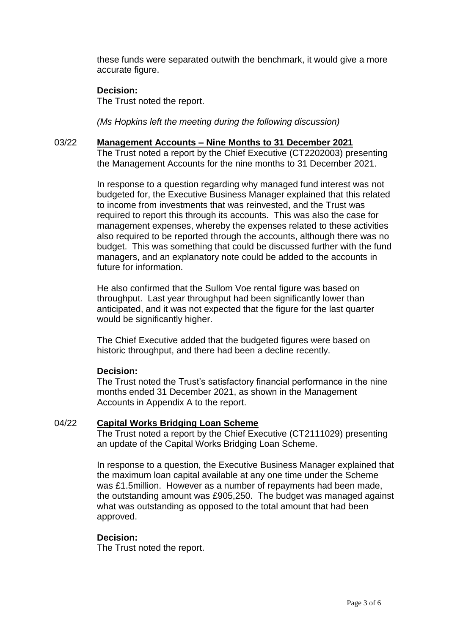these funds were separated outwith the benchmark, it would give a more accurate figure.

# **Decision:**

The Trust noted the report.

*(Ms Hopkins left the meeting during the following discussion)*

#### 03/22 **Management Accounts – Nine Months to 31 December 2021**

The Trust noted a report by the Chief Executive (CT2202003) presenting the Management Accounts for the nine months to 31 December 2021.

In response to a question regarding why managed fund interest was not budgeted for, the Executive Business Manager explained that this related to income from investments that was reinvested, and the Trust was required to report this through its accounts. This was also the case for management expenses, whereby the expenses related to these activities also required to be reported through the accounts, although there was no budget. This was something that could be discussed further with the fund managers, and an explanatory note could be added to the accounts in future for information.

He also confirmed that the Sullom Voe rental figure was based on throughput. Last year throughput had been significantly lower than anticipated, and it was not expected that the figure for the last quarter would be significantly higher.

The Chief Executive added that the budgeted figures were based on historic throughput, and there had been a decline recently.

# **Decision:**

The Trust noted the Trust's satisfactory financial performance in the nine months ended 31 December 2021, as shown in the Management Accounts in Appendix A to the report.

# 04/22 **Capital Works Bridging Loan Scheme**

The Trust noted a report by the Chief Executive (CT2111029) presenting an update of the Capital Works Bridging Loan Scheme.

In response to a question, the Executive Business Manager explained that the maximum loan capital available at any one time under the Scheme was £1.5million. However as a number of repayments had been made, the outstanding amount was £905,250. The budget was managed against what was outstanding as opposed to the total amount that had been approved.

# **Decision:**

The Trust noted the report.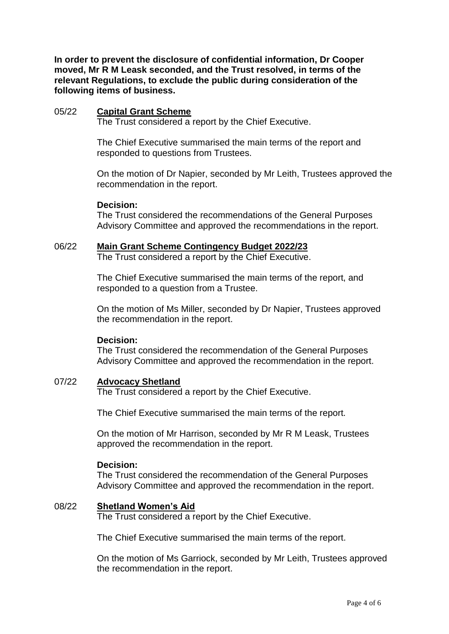**In order to prevent the disclosure of confidential information, Dr Cooper moved, Mr R M Leask seconded, and the Trust resolved, in terms of the relevant Regulations, to exclude the public during consideration of the following items of business.**

#### 05/22 **Capital Grant Scheme**

The Trust considered a report by the Chief Executive.

The Chief Executive summarised the main terms of the report and responded to questions from Trustees.

On the motion of Dr Napier, seconded by Mr Leith, Trustees approved the recommendation in the report.

#### **Decision:**

The Trust considered the recommendations of the General Purposes Advisory Committee and approved the recommendations in the report.

#### 06/22 **Main Grant Scheme Contingency Budget 2022/23**

The Trust considered a report by the Chief Executive.

The Chief Executive summarised the main terms of the report, and responded to a question from a Trustee.

On the motion of Ms Miller, seconded by Dr Napier, Trustees approved the recommendation in the report.

#### **Decision:**

The Trust considered the recommendation of the General Purposes Advisory Committee and approved the recommendation in the report.

#### 07/22 **Advocacy Shetland**

The Trust considered a report by the Chief Executive.

The Chief Executive summarised the main terms of the report.

On the motion of Mr Harrison, seconded by Mr R M Leask, Trustees approved the recommendation in the report.

#### **Decision:**

The Trust considered the recommendation of the General Purposes Advisory Committee and approved the recommendation in the report.

#### 08/22 **Shetland Women's Aid**

The Trust considered a report by the Chief Executive.

The Chief Executive summarised the main terms of the report.

On the motion of Ms Garriock, seconded by Mr Leith, Trustees approved the recommendation in the report.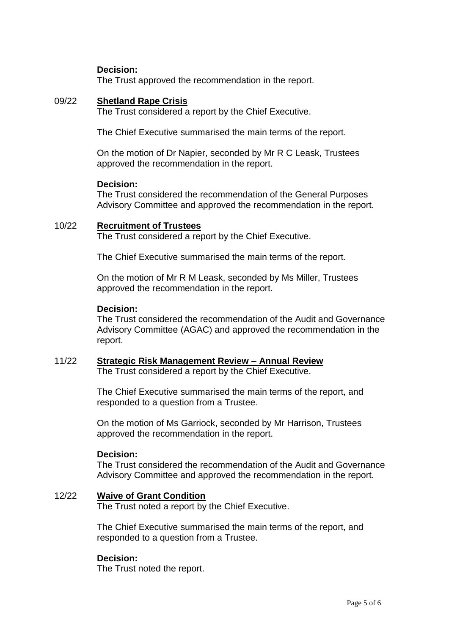# **Decision:**

The Trust approved the recommendation in the report.

#### 09/22 **Shetland Rape Crisis**

The Trust considered a report by the Chief Executive.

The Chief Executive summarised the main terms of the report.

On the motion of Dr Napier, seconded by Mr R C Leask, Trustees approved the recommendation in the report.

#### **Decision:**

The Trust considered the recommendation of the General Purposes Advisory Committee and approved the recommendation in the report.

#### 10/22 **Recruitment of Trustees**

The Trust considered a report by the Chief Executive.

The Chief Executive summarised the main terms of the report.

On the motion of Mr R M Leask, seconded by Ms Miller, Trustees approved the recommendation in the report.

#### **Decision:**

The Trust considered the recommendation of the Audit and Governance Advisory Committee (AGAC) and approved the recommendation in the report.

## 11/22 **Strategic Risk Management Review – Annual Review**

The Trust considered a report by the Chief Executive.

The Chief Executive summarised the main terms of the report, and responded to a question from a Trustee.

On the motion of Ms Garriock, seconded by Mr Harrison, Trustees approved the recommendation in the report.

#### **Decision:**

The Trust considered the recommendation of the Audit and Governance Advisory Committee and approved the recommendation in the report.

#### 12/22 **Waive of Grant Condition**

The Trust noted a report by the Chief Executive.

The Chief Executive summarised the main terms of the report, and responded to a question from a Trustee.

#### **Decision:**

The Trust noted the report.